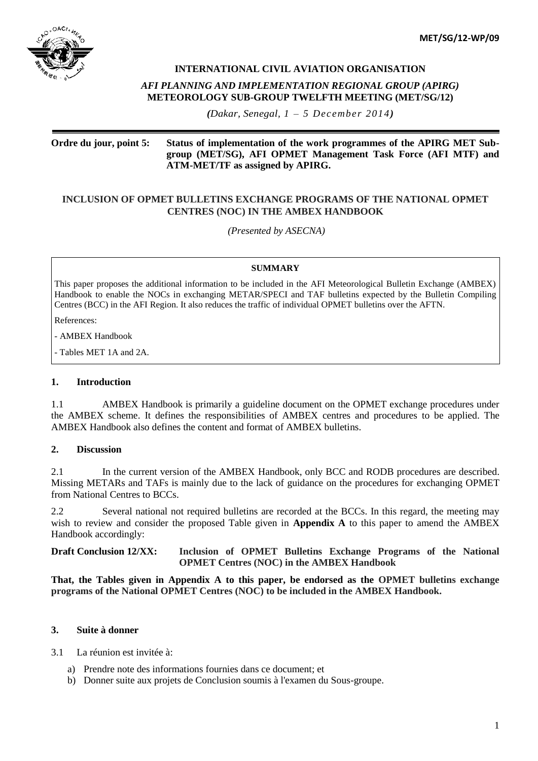

# **INTERNATIONAL CIVIL AVIATION ORGANISATION**

### *AFI PLANNING AND IMPLEMENTATION REGIONAL GROUP (APIRG)* **METEOROLOGY SUB-GROUP TWELFTH MEETING (MET/SG/12)**

*(Dakar, Senegal, 1 – 5 December 2014)*

## **Ordre du jour, point 5: Status of implementation of the work programmes of the APIRG MET Subgroup (MET/SG), AFI OPMET Management Task Force (AFI MTF) and ATM-MET/TF as assigned by APIRG.**

# **INCLUSION OF OPMET BULLETINS EXCHANGE PROGRAMS OF THE NATIONAL OPMET CENTRES (NOC) IN THE AMBEX HANDBOOK**

*(Presented by ASECNA)*

## **SUMMARY**

This paper proposes the additional information to be included in the AFI Meteorological Bulletin Exchange (AMBEX) Handbook to enable the NOCs in exchanging METAR/SPECI and TAF bulletins expected by the Bulletin Compiling Centres (BCC) in the AFI Region. It also reduces the traffic of individual OPMET bulletins over the AFTN.

References:

- AMBEX Handbook

- Tables MET 1A and 2A.

## **1. Introduction**

1.1 AMBEX Handbook is primarily a guideline document on the OPMET exchange procedures under the AMBEX scheme. It defines the responsibilities of AMBEX centres and procedures to be applied. The AMBEX Handbook also defines the content and format of AMBEX bulletins.

### **2. Discussion**

2.1 In the current version of the AMBEX Handbook, only BCC and RODB procedures are described. Missing METARs and TAFs is mainly due to the lack of guidance on the procedures for exchanging OPMET from National Centres to BCCs.

2.2 Several national not required bulletins are recorded at the BCCs. In this regard, the meeting may wish to review and consider the proposed Table given in **Appendix A** to this paper to amend the AMBEX Handbook accordingly:

**Draft Conclusion 12/XX: Inclusion of OPMET Bulletins Exchange Programs of the National OPMET Centres (NOC) in the AMBEX Handbook**

**That, the Tables given in Appendix A to this paper, be endorsed as the OPMET bulletins exchange programs of the National OPMET Centres (NOC) to be included in the AMBEX Handbook.**

## **3. Suite à donner**

3.1 La réunion est invitée à:

- a) Prendre note des informations fournies dans ce document; et
- b) Donner suite aux projets de Conclusion soumis à l'examen du Sous-groupe.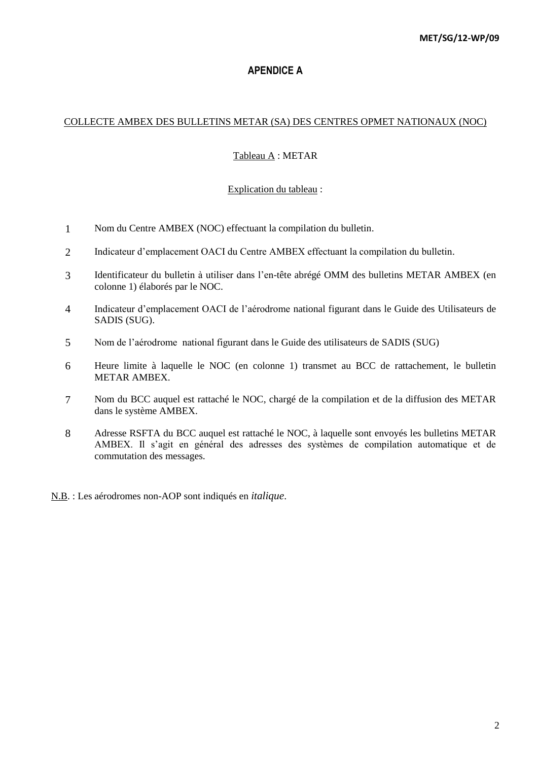# **APENDICE A**

## COLLECTE AMBEX DES BULLETINS METAR (SA) DES CENTRES OPMET NATIONAUX (NOC)

# Tableau A : METAR

# Explication du tableau :

- 1 Nom du Centre AMBEX (NOC) effectuant la compilation du bulletin.
- 2 Indicateur d'emplacement OACI du Centre AMBEX effectuant la compilation du bulletin.
- 3 Identificateur du bulletin à utiliser dans l'en-tête abrégé OMM des bulletins METAR AMBEX (en colonne 1) élaborés par le NOC.
- 4 Indicateur d'emplacement OACI de l'aérodrome national figurant dans le Guide des Utilisateurs de SADIS (SUG).
- 5 Nom de l'aérodrome national figurant dans le Guide des utilisateurs de SADIS (SUG)
- 6 Heure limite à laquelle le NOC (en colonne 1) transmet au BCC de rattachement, le bulletin METAR AMBEX.
- 7 Nom du BCC auquel est rattaché le NOC, chargé de la compilation et de la diffusion des METAR dans le système AMBEX.
- 8 Adresse RSFTA du BCC auquel est rattaché le NOC, à laquelle sont envoyés les bulletins METAR AMBEX. Il s'agit en général des adresses des systèmes de compilation automatique et de commutation des messages.

N.B. : Les aérodromes non-AOP sont indiqués en *italique*.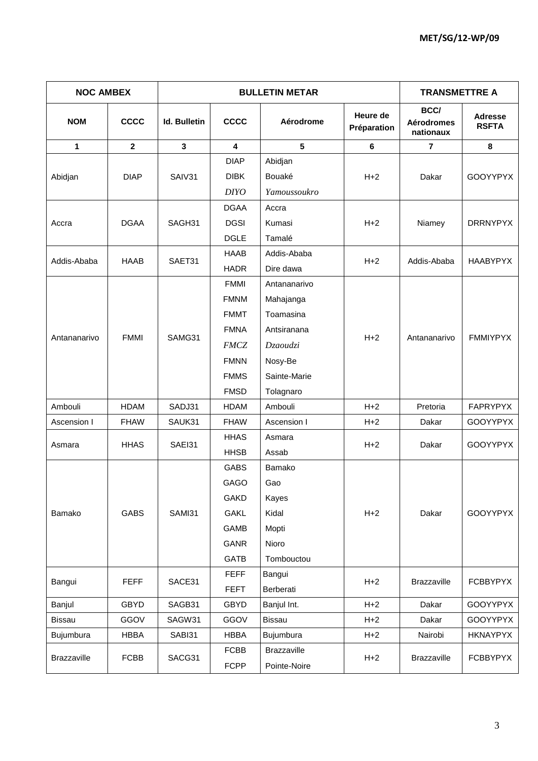| <b>NOC AMBEX</b> |              |                     | <b>BULLETIN METAR</b> | <b>TRANSMETTRE A</b> |                         |                                        |                                |
|------------------|--------------|---------------------|-----------------------|----------------------|-------------------------|----------------------------------------|--------------------------------|
| <b>NOM</b>       | <b>CCCC</b>  | <b>Id. Bulletin</b> | <b>CCCC</b>           | Aérodrome            | Heure de<br>Préparation | BCC/<br><b>Aérodromes</b><br>nationaux | <b>Adresse</b><br><b>RSFTA</b> |
| 1                | $\mathbf{2}$ | $\mathbf{3}$        | 4                     | $5\phantom{.0}$      | 6                       | $\overline{\mathbf{r}}$                | 8                              |
|                  |              |                     | <b>DIAP</b>           | Abidjan              |                         |                                        |                                |
| Abidjan          | <b>DIAP</b>  | SAIV31              | <b>DIBK</b>           | Bouaké               | $H+2$                   | Dakar                                  | <b>GOOYYPYX</b>                |
|                  |              |                     | <b>DIYO</b>           | Yamoussoukro         |                         |                                        |                                |
|                  |              |                     | <b>DGAA</b>           | Accra                |                         |                                        |                                |
| Accra            | <b>DGAA</b>  | SAGH31              | <b>DGSI</b>           | Kumasi               | $H+2$                   | Niamey                                 | <b>DRRNYPYX</b>                |
|                  |              |                     | <b>DGLE</b>           | Tamalé               |                         |                                        |                                |
| Addis-Ababa      | HAAB         | SAET31              | <b>HAAB</b>           | Addis-Ababa          | $H+2$                   | Addis-Ababa                            | HAABYPYX                       |
|                  |              |                     | <b>HADR</b>           | Dire dawa            |                         |                                        |                                |
|                  |              |                     | <b>FMMI</b>           | Antananarivo         |                         |                                        |                                |
|                  |              | SAMG31              | <b>FMNM</b>           | Mahajanga            |                         |                                        |                                |
|                  |              |                     | <b>FMMT</b>           | Toamasina            |                         |                                        |                                |
| Antananarivo     | <b>FMMI</b>  |                     | <b>FMNA</b>           | Antsiranana          | $H+2$                   | Antananarivo                           | <b>FMMIYPYX</b>                |
|                  |              |                     | <b>FMCZ</b>           | Dzaoudzi             |                         |                                        |                                |
|                  |              |                     | <b>FMNN</b>           | Nosy-Be              |                         |                                        |                                |
|                  |              |                     | <b>FMMS</b>           | Sainte-Marie         |                         |                                        |                                |
|                  |              |                     | <b>FMSD</b>           | Tolagnaro            |                         |                                        |                                |
| Ambouli          | HDAM         | SADJ31              | HDAM                  | Ambouli              | $H+2$                   | Pretoria                               | FAPRYPYX                       |
| Ascension I      | <b>FHAW</b>  | SAUK31              | <b>FHAW</b>           | Ascension I          | $H+2$                   | Dakar                                  | <b>GOOYYPYX</b>                |
| Asmara           | <b>HHAS</b>  | SAEI31              | <b>HHAS</b>           | Asmara               | $H+2$                   | Dakar                                  | <b>GOOYYPYX</b>                |
|                  |              |                     | <b>HHSB</b>           | Assab                |                         |                                        |                                |
|                  |              |                     | GABS                  | Bamako               |                         |                                        |                                |
|                  |              |                     | GAGO                  | Gao                  |                         |                                        |                                |
|                  |              |                     | <b>GAKD</b>           | Kayes                |                         |                                        |                                |
| Bamako           | <b>GABS</b>  | SAMI31              | <b>GAKL</b>           | Kidal                | $H+2$                   | Dakar                                  | GOOYYPYX                       |
|                  |              |                     | GAMB                  | Mopti                |                         |                                        |                                |
|                  |              |                     | <b>GANR</b>           | Nioro                |                         |                                        |                                |
|                  |              |                     | <b>GATB</b>           | Tombouctou           |                         |                                        |                                |
| Bangui           | <b>FEFF</b>  | SACE31              | <b>FEFF</b>           | Bangui               | $H+2$                   | Brazzaville                            | <b>FCBBYPYX</b>                |
|                  |              |                     | <b>FEFT</b>           | Berberati            |                         |                                        |                                |
| Banjul           | <b>GBYD</b>  | SAGB31              | <b>GBYD</b>           | Banjul Int.          | $H+2$                   | Dakar                                  | <b>GOOYYPYX</b>                |
| <b>Bissau</b>    | GGOV         | SAGW31              | GGOV                  | Bissau               | $H+2$                   | Dakar                                  | GOOYYPYX                       |
| Bujumbura        | <b>HBBA</b>  | SABI31              | <b>HBBA</b>           | Bujumbura            | $H+2$                   | Nairobi                                | <b>HKNAYPYX</b>                |
| Brazzaville      | <b>FCBB</b>  | SACG31              | <b>FCBB</b>           | Brazzaville          | $H+2$                   | Brazzaville                            | <b>FCBBYPYX</b>                |
|                  |              |                     |                       | <b>FCPP</b>          | Pointe-Noire            |                                        |                                |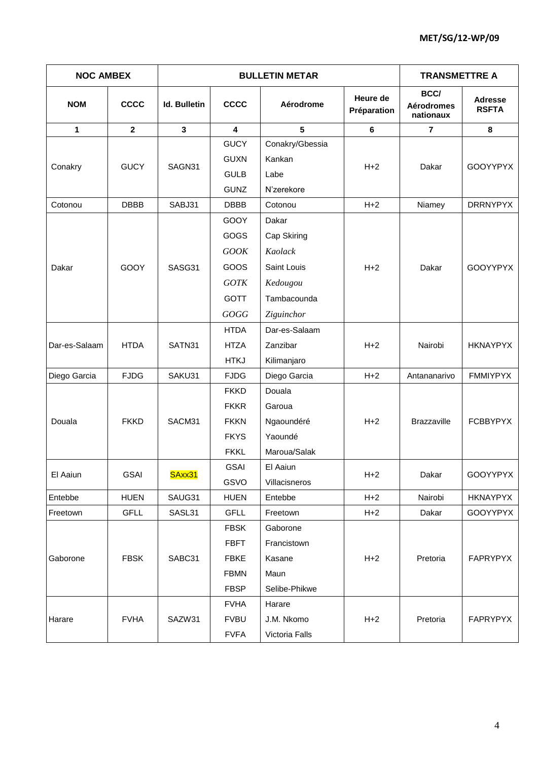| <b>NOC AMBEX</b> |              |                     | <b>BULLETIN METAR</b> | <b>TRANSMETTRE A</b> |                         |                                        |                                |
|------------------|--------------|---------------------|-----------------------|----------------------|-------------------------|----------------------------------------|--------------------------------|
| <b>NOM</b>       | <b>CCCC</b>  | <b>Id. Bulletin</b> | <b>CCCC</b>           | Aérodrome            | Heure de<br>Préparation | BCC/<br><b>Aérodromes</b><br>nationaux | <b>Adresse</b><br><b>RSFTA</b> |
| 1                | $\mathbf{2}$ | $\mathbf{3}$        | 4                     | $5\phantom{.0}$      | 6                       | $\overline{7}$                         | 8                              |
|                  |              |                     | <b>GUCY</b>           | Conakry/Gbessia      |                         |                                        |                                |
| Conakry          | <b>GUCY</b>  | SAGN31              | <b>GUXN</b>           | Kankan               | $H+2$                   | Dakar                                  | GOOYYPYX                       |
|                  |              |                     | <b>GULB</b>           | Labe                 |                         |                                        |                                |
|                  |              |                     | <b>GUNZ</b>           | N'zerekore           |                         |                                        |                                |
| Cotonou          | <b>DBBB</b>  | SABJ31              | <b>DBBB</b>           | Cotonou              | $H+2$                   | Niamey                                 | <b>DRRNYPYX</b>                |
|                  |              |                     | GOOY                  | Dakar                |                         |                                        |                                |
|                  | GOOY         |                     | GOGS                  | Cap Skiring          |                         |                                        |                                |
|                  |              | SASG31              | <b>GOOK</b>           | Kaolack              |                         |                                        |                                |
| Dakar            |              |                     | GOOS                  | Saint Louis          | $H+2$                   | Dakar                                  | <b>GOOYYPYX</b>                |
|                  |              |                     | <b>GOTK</b>           | Kedougou             |                         |                                        |                                |
|                  |              |                     | <b>GOTT</b>           | Tambacounda          |                         |                                        |                                |
|                  |              |                     | GOGG                  | Ziguinchor           |                         |                                        |                                |
|                  |              |                     | <b>HTDA</b>           | Dar-es-Salaam        |                         |                                        |                                |
| Dar-es-Salaam    | <b>HTDA</b>  | SATN31              | <b>HTZA</b>           | Zanzibar             | $H+2$                   | Nairobi                                | <b>HKNAYPYX</b>                |
|                  |              |                     | <b>HTKJ</b>           | Kilimanjaro          |                         |                                        |                                |
| Diego Garcia     | <b>FJDG</b>  | SAKU31              | <b>FJDG</b>           | Diego Garcia         | $H+2$                   | Antananarivo                           | <b>FMMIYPYX</b>                |
|                  |              | SACM31              | <b>FKKD</b>           | Douala               |                         | <b>Brazzaville</b>                     | <b>FCBBYPYX</b>                |
|                  |              |                     | <b>FKKR</b>           | Garoua               |                         |                                        |                                |
| Douala           | <b>FKKD</b>  |                     | <b>FKKN</b>           | Ngaoundéré           | $H+2$                   |                                        |                                |
|                  |              |                     | <b>FKYS</b>           | Yaoundé              |                         |                                        |                                |
|                  |              |                     | <b>FKKL</b>           | Maroua/Salak         |                         |                                        |                                |
|                  |              |                     | <b>GSAI</b>           | El Aaiun             |                         |                                        |                                |
| El Aaiun         | <b>GSAI</b>  | SAxx31              | GSVO                  | Villacisneros        | $H+2$                   | Dakar                                  | GOOYYPYX                       |
| Entebbe          | <b>HUEN</b>  | SAUG31              | <b>HUEN</b>           | Entebbe              | $H+2$                   | Nairobi                                | <b>HKNAYPYX</b>                |
| Freetown         | <b>GFLL</b>  | SASL31              | <b>GFLL</b>           | Freetown             | $H+2$                   | Dakar                                  | GOOYYPYX                       |
|                  |              |                     | <b>FBSK</b>           | Gaborone             |                         |                                        |                                |
|                  |              |                     | <b>FBFT</b>           | Francistown          |                         |                                        |                                |
| Gaborone         | <b>FBSK</b>  | SABC31              | <b>FBKE</b>           | Kasane               | $H+2$                   | Pretoria                               | <b>FAPRYPYX</b>                |
|                  |              |                     | <b>FBMN</b>           | Maun                 |                         |                                        |                                |
|                  |              |                     | <b>FBSP</b>           | Selibe-Phikwe        |                         |                                        |                                |
|                  |              |                     | <b>FVHA</b>           | Harare               |                         |                                        |                                |
| Harare           | <b>FVHA</b>  | SAZW31              | <b>FVBU</b>           | J.M. Nkomo           | $H+2$                   | Pretoria                               | FAPRYPYX                       |
|                  |              |                     | <b>FVFA</b>           | Victoria Falls       |                         |                                        |                                |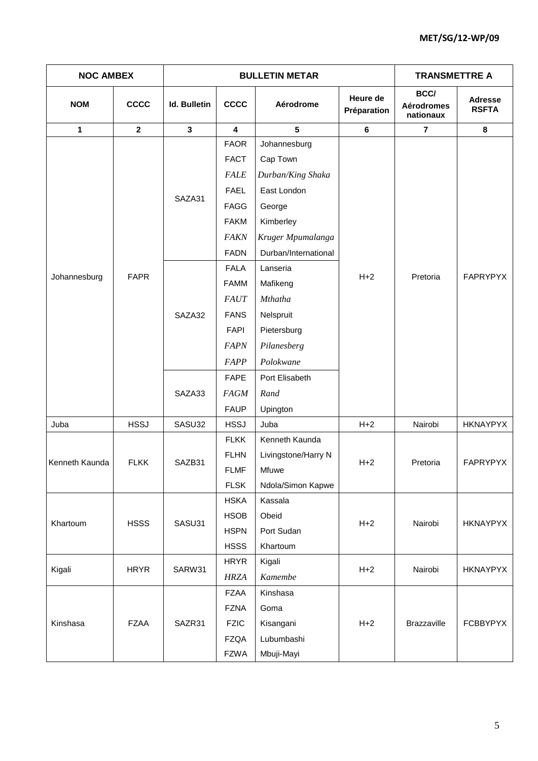| <b>NOC AMBEX</b> |              |                     | <b>BULLETIN METAR</b>   | <b>TRANSMETTRE A</b> |                         |                                        |                                |
|------------------|--------------|---------------------|-------------------------|----------------------|-------------------------|----------------------------------------|--------------------------------|
| <b>NOM</b>       | <b>CCCC</b>  | <b>Id. Bulletin</b> | <b>CCCC</b>             | Aérodrome            | Heure de<br>Préparation | BCC/<br><b>Aérodromes</b><br>nationaux | <b>Adresse</b><br><b>RSFTA</b> |
| 1                | $\mathbf{2}$ | $\mathbf{3}$        | $\overline{\mathbf{4}}$ | $5\phantom{.0}$      | 6                       | $\overline{7}$                         | 8                              |
|                  |              |                     | <b>FAOR</b>             | Johannesburg         |                         |                                        |                                |
|                  |              | SAZA31              | <b>FACT</b>             | Cap Town             |                         |                                        |                                |
|                  |              |                     | <b>FALE</b>             | Durban/King Shaka    |                         |                                        |                                |
|                  |              |                     | <b>FAEL</b>             | East London          |                         |                                        |                                |
|                  |              |                     | <b>FAGG</b>             | George               |                         | Pretoria                               |                                |
|                  |              |                     | <b>FAKM</b>             | Kimberley            |                         |                                        |                                |
|                  |              |                     | <b>FAKN</b>             | Kruger Mpumalanga    |                         |                                        | FAPRYPYX                       |
|                  |              |                     | <b>FADN</b>             | Durban/International |                         |                                        |                                |
| Johannesburg     | <b>FAPR</b>  | SAZA32              | <b>FALA</b>             | Lanseria             | $H+2$                   |                                        |                                |
|                  |              |                     | <b>FAMM</b>             | Mafikeng             |                         |                                        |                                |
|                  |              |                     | <b>FAUT</b>             | Mthatha              |                         |                                        |                                |
|                  |              |                     | <b>FANS</b>             | Nelspruit            |                         |                                        |                                |
|                  |              |                     | <b>FAPI</b>             | Pietersburg          |                         |                                        |                                |
|                  |              |                     | <b>FAPN</b>             | Pilanesberg          |                         |                                        |                                |
|                  |              |                     | FAPP                    | Polokwane            |                         |                                        |                                |
|                  |              |                     | <b>FAPE</b>             | Port Elisabeth       |                         |                                        |                                |
|                  |              | SAZA33              | <b>FAGM</b>             | Rand                 |                         |                                        |                                |
|                  |              |                     | <b>FAUP</b>             | Upington             |                         |                                        |                                |
| Juba             | <b>HSSJ</b>  | SASU32              | <b>HSSJ</b>             | Juba                 | $H+2$                   | Nairobi                                | <b>HKNAYPYX</b>                |
|                  |              |                     | <b>FLKK</b>             | Kenneth Kaunda       |                         |                                        | FAPRYPYX                       |
|                  | <b>FLKK</b>  | SAZB31              | <b>FLHN</b>             | Livingstone/Harry N  |                         |                                        |                                |
| Kenneth Kaunda   |              |                     | <b>FLMF</b>             | Mfuwe                | $H+2$                   | Pretoria                               |                                |
|                  |              |                     | <b>FLSK</b>             | Ndola/Simon Kapwe    |                         |                                        |                                |
|                  |              |                     | <b>HSKA</b>             | Kassala              |                         |                                        |                                |
| Khartoum         | <b>HSSS</b>  | SASU31              | <b>HSOB</b>             | Obeid                | $H+2$                   | Nairobi                                | <b>HKNAYPYX</b>                |
|                  |              |                     | <b>HSPN</b>             | Port Sudan           |                         |                                        |                                |
|                  |              |                     | <b>HSSS</b>             | Khartoum             |                         |                                        |                                |
| Kigali           | <b>HRYR</b>  | SARW31              | <b>HRYR</b>             | Kigali               | $H+2$                   | Nairobi                                | <b>HKNAYPYX</b>                |
|                  |              |                     | <b>HRZA</b>             | Kamembe              |                         |                                        |                                |
|                  |              |                     | <b>FZAA</b>             | Kinshasa             |                         |                                        |                                |
|                  |              |                     | <b>FZNA</b>             | Goma                 |                         |                                        |                                |
| Kinshasa         | <b>FZAA</b>  | SAZR31              | <b>FZIC</b>             | Kisangani            | $H+2$                   | <b>Brazzaville</b>                     | <b>FCBBYPYX</b>                |
|                  |              |                     | <b>FZQA</b>             | Lubumbashi           |                         |                                        |                                |
|                  |              |                     | <b>FZWA</b>             | Mbuji-Mayi           |                         |                                        |                                |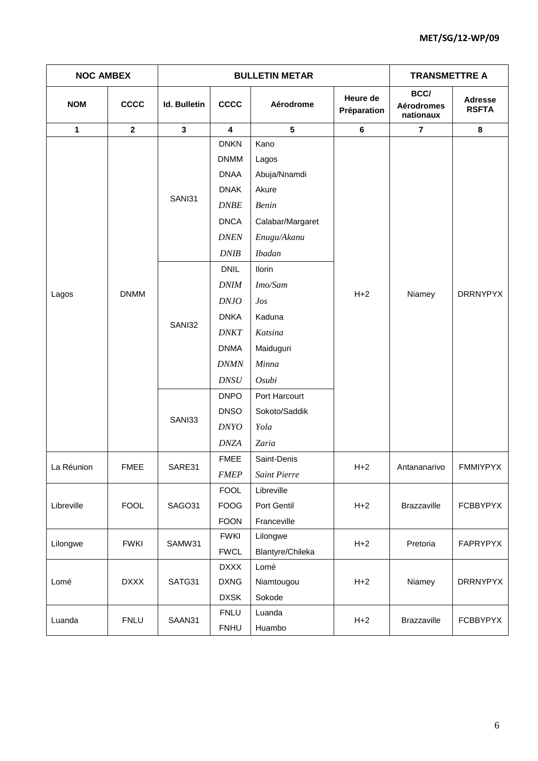| <b>NOC AMBEX</b> |                |                     | <b>BULLETIN METAR</b>   | <b>TRANSMETTRE A</b> |                         |                                               |                                |  |
|------------------|----------------|---------------------|-------------------------|----------------------|-------------------------|-----------------------------------------------|--------------------------------|--|
| <b>NOM</b>       | <b>CCCC</b>    | <b>Id. Bulletin</b> | <b>CCCC</b>             | Aérodrome            | Heure de<br>Préparation | <b>BCC/</b><br><b>Aérodromes</b><br>nationaux | <b>Adresse</b><br><b>RSFTA</b> |  |
| $\mathbf{1}$     | 2 <sup>1</sup> | $\mathbf{3}$        | $\overline{\mathbf{4}}$ | 5                    | $6\phantom{a}$          | $\overline{7}$                                | 8                              |  |
|                  |                |                     | <b>DNKN</b>             | Kano                 |                         |                                               |                                |  |
|                  |                |                     | <b>DNMM</b>             | Lagos                |                         |                                               |                                |  |
|                  |                |                     | <b>DNAA</b>             | Abuja/Nnamdi         |                         |                                               |                                |  |
|                  |                | SANI31              | <b>DNAK</b>             | Akure                |                         |                                               |                                |  |
|                  |                |                     | DNBE                    | Benin                |                         |                                               |                                |  |
|                  |                |                     | <b>DNCA</b>             | Calabar/Margaret     |                         |                                               |                                |  |
|                  |                |                     | <b>DNEN</b>             | Enugu/Akanu          |                         |                                               |                                |  |
|                  |                |                     | DNIB                    | <b>Ibadan</b>        |                         |                                               |                                |  |
|                  | <b>DNMM</b>    | SANI32              | <b>DNIL</b>             | <b>Ilorin</b>        |                         |                                               |                                |  |
| Lagos            |                |                     | <b>DNIM</b>             | Imo/Sam              | $H+2$                   | Niamey                                        | DRRNYPYX                       |  |
|                  |                |                     | D N J O                 | Jos                  |                         |                                               |                                |  |
|                  |                |                     | <b>DNKA</b>             | Kaduna               |                         |                                               |                                |  |
|                  |                |                     | <b>DNKT</b>             | Katsina              |                         |                                               |                                |  |
|                  |                |                     | <b>DNMA</b>             | Maiduguri            |                         |                                               |                                |  |
|                  |                |                     | <b>DNMN</b>             | Minna                |                         |                                               |                                |  |
|                  |                |                     | DNSU                    | Osubi                |                         |                                               |                                |  |
|                  |                |                     | <b>DNPO</b>             | Port Harcourt        |                         |                                               |                                |  |
|                  |                | SANI33              | <b>DNSO</b>             | Sokoto/Saddik        |                         |                                               |                                |  |
|                  |                |                     | <b>DNYO</b>             | Yola                 |                         |                                               |                                |  |
|                  |                |                     | <b>DNZA</b>             | Zaria                |                         |                                               |                                |  |
| La Réunion       | <b>FMEE</b>    | SARE31              | <b>FMEE</b>             | Saint-Denis          | $H+2$                   | Antananarivo                                  | FMMIYPYX                       |  |
|                  |                |                     | <b>FMEP</b>             | <b>Saint Pierre</b>  |                         |                                               |                                |  |
|                  |                |                     | <b>FOOL</b>             | Libreville           |                         |                                               |                                |  |
| Libreville       | <b>FOOL</b>    | SAGO31              | <b>FOOG</b>             | Port Gentil          | $H+2$                   | <b>Brazzaville</b>                            | <b>FCBBYPYX</b>                |  |
|                  |                |                     | <b>FOON</b>             | Franceville          |                         |                                               |                                |  |
| Lilongwe         | <b>FWKI</b>    | SAMW31              | <b>FWKI</b>             | Lilongwe             | $H+2$                   | Pretoria                                      | <b>FAPRYPYX</b>                |  |
|                  |                |                     | <b>FWCL</b>             | Blantyre/Chileka     |                         |                                               |                                |  |
|                  |                |                     | <b>DXXX</b>             | Lomé                 |                         |                                               | <b>DRRNYPYX</b>                |  |
| Lomé             | <b>DXXX</b>    | SATG31              | <b>DXNG</b>             | Niamtougou           | $H+2$                   | Niamey                                        |                                |  |
|                  |                |                     | <b>DXSK</b>             | Sokode               |                         |                                               |                                |  |
| Luanda           | <b>FNLU</b>    | SAAN31              | <b>FNLU</b>             | Luanda               | $H+2$                   | Brazzaville                                   | <b>FCBBYPYX</b>                |  |
|                  |                |                     |                         | <b>FNHU</b>          | Huambo                  |                                               |                                |  |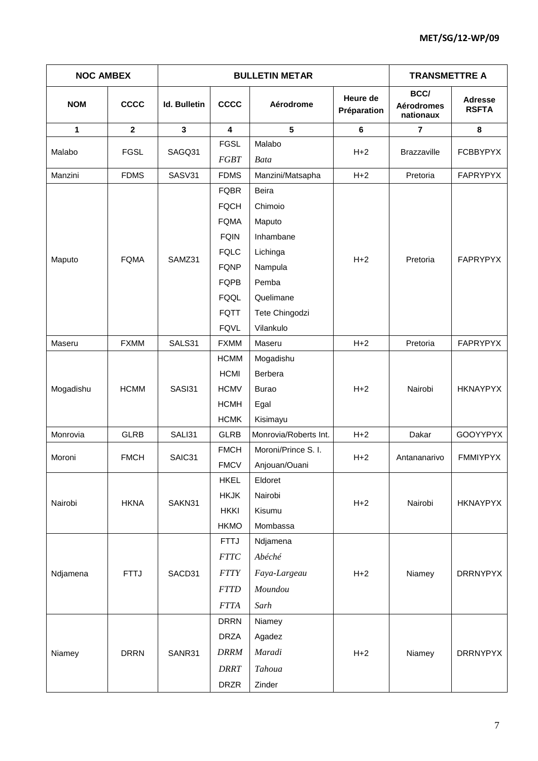| <b>NOC AMBEX</b> |              |                     | <b>BULLETIN METAR</b> | <b>TRANSMETTRE A</b>  |                         |                                        |                                |
|------------------|--------------|---------------------|-----------------------|-----------------------|-------------------------|----------------------------------------|--------------------------------|
| <b>NOM</b>       | <b>CCCC</b>  | <b>Id. Bulletin</b> | <b>CCCC</b>           | Aérodrome             | Heure de<br>Préparation | BCC/<br><b>Aérodromes</b><br>nationaux | <b>Adresse</b><br><b>RSFTA</b> |
| 1                | $\mathbf{2}$ | $\mathbf{3}$        | 4                     | 5                     | 6                       | $\overline{7}$                         | 8                              |
|                  | <b>FGSL</b>  |                     | <b>FGSL</b>           | Malabo                |                         |                                        | <b>FCBBYPYX</b>                |
| Malabo           |              | SAGQ31              | <b>FGBT</b>           | <b>Bata</b>           | $H+2$                   | <b>Brazzaville</b>                     |                                |
| Manzini          | <b>FDMS</b>  | SASV31              | <b>FDMS</b>           | Manzini/Matsapha      | $H+2$                   | Pretoria                               | <b>FAPRYPYX</b>                |
|                  |              |                     | <b>FQBR</b>           | Beira                 |                         |                                        |                                |
|                  |              |                     | <b>FQCH</b>           | Chimoio               |                         |                                        |                                |
|                  |              |                     | <b>FQMA</b>           | Maputo                |                         |                                        | <b>FAPRYPYX</b>                |
|                  |              |                     | <b>FQIN</b>           | Inhambane             |                         |                                        |                                |
|                  |              |                     | <b>FQLC</b>           | Lichinga              |                         |                                        |                                |
| Maputo           | <b>FQMA</b>  | SAMZ31              | <b>FQNP</b>           | Nampula               | $H + 2$                 | Pretoria                               |                                |
|                  |              |                     | <b>FQPB</b>           | Pemba                 |                         |                                        |                                |
|                  |              |                     | FQQL                  | Quelimane             |                         |                                        |                                |
|                  |              |                     | <b>FQTT</b>           | Tete Chingodzi        |                         |                                        |                                |
|                  |              |                     | <b>FQVL</b>           | Vilankulo             |                         |                                        |                                |
| Maseru           | <b>FXMM</b>  | SALS31              | <b>FXMM</b>           | Maseru                | $H + 2$                 | Pretoria                               | FAPRYPYX                       |
|                  |              |                     | <b>HCMM</b>           | Mogadishu             |                         |                                        |                                |
|                  |              | SASI31              | <b>HCMI</b>           | Berbera               | $H+2$                   |                                        |                                |
| Mogadishu        | <b>HCMM</b>  |                     | <b>HCMV</b>           | <b>Burao</b>          |                         | Nairobi                                | <b>HKNAYPYX</b>                |
|                  |              |                     | <b>HCMH</b>           | Egal                  |                         |                                        |                                |
|                  |              |                     | <b>HCMK</b>           | Kisimayu              |                         |                                        |                                |
| Monrovia         | <b>GLRB</b>  | SALI31              | <b>GLRB</b>           | Monrovia/Roberts Int. | $H+2$                   | Dakar                                  | GOOYYPYX                       |
|                  |              |                     | <b>FMCH</b>           | Moroni/Prince S. I.   |                         |                                        | <b>FMMIYPYX</b>                |
| Moroni           | <b>FMCH</b>  | SAIC31              | <b>FMCV</b>           | Anjouan/Ouani         | $H+2$                   | Antananarivo                           |                                |
|                  |              |                     | <b>HKEL</b>           | Eldoret               |                         |                                        |                                |
|                  |              |                     | <b>HKJK</b>           | Nairobi               |                         |                                        |                                |
| Nairobi          | <b>HKNA</b>  | SAKN31              | <b>HKKI</b>           | Kisumu                | $H + 2$                 | Nairobi                                | <b>HKNAYPYX</b>                |
|                  |              |                     | <b>HKMO</b>           | Mombassa              |                         |                                        |                                |
|                  |              |                     | <b>FTTJ</b>           | Ndjamena              |                         |                                        |                                |
|                  |              |                     | $FTTC$                | Abéché                |                         |                                        |                                |
| Ndjamena         | <b>FTTJ</b>  | SACD31              | <b>FTTY</b>           | Faya-Largeau          | $H+2$                   | Niamey                                 | <b>DRRNYPYX</b>                |
|                  |              |                     | <b>FTTD</b>           | Moundou               |                         |                                        |                                |
|                  |              |                     | <b>FTTA</b>           | Sarh                  |                         |                                        |                                |
|                  |              |                     |                       |                       |                         |                                        |                                |
|                  |              |                     | <b>DRRN</b>           | Niamey                |                         |                                        |                                |
|                  |              |                     | <b>DRZA</b>           | Agadez                |                         | Niamey                                 | <b>DRRNYPYX</b>                |
| Niamey           | <b>DRRN</b>  | SANR31              | <b>DRRM</b>           | Maradi                | $H+2$                   |                                        |                                |
|                  |              |                     | <b>DRRT</b>           | Tahoua                |                         |                                        |                                |
|                  |              |                     | <b>DRZR</b>           | Zinder                |                         |                                        |                                |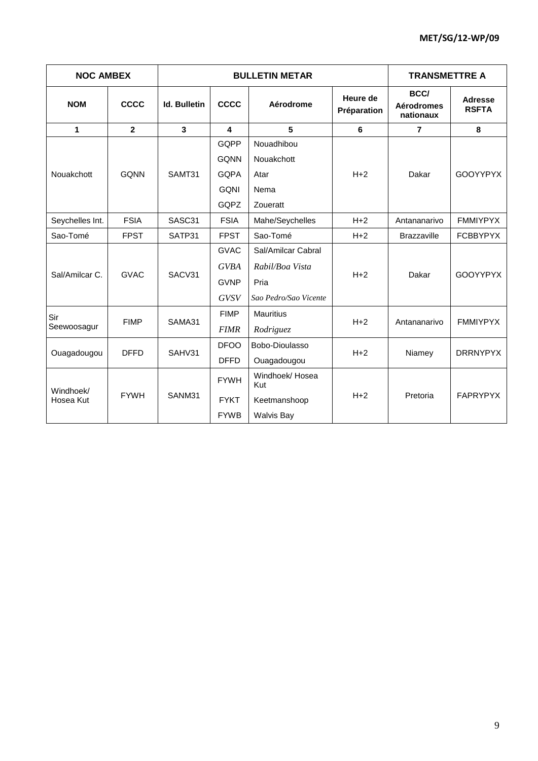| <b>NOC AMBEX</b> |                |                         | <b>BULLETIN METAR</b> |                                      | <b>TRANSMETTRE A</b> |                                        |                                |
|------------------|----------------|-------------------------|-----------------------|--------------------------------------|----------------------|----------------------------------------|--------------------------------|
| <b>NOM</b>       | CCCC           | <b>Id. Bulletin</b>     | <b>CCCC</b>           | Heure de<br>Aérodrome<br>Préparation |                      | BCC/<br><b>Aérodromes</b><br>nationaux | <b>Adresse</b><br><b>RSFTA</b> |
| 1                | $\overline{2}$ | $\overline{\mathbf{3}}$ | 4                     | 5                                    | 6                    | $\overline{7}$                         | 8                              |
|                  |                |                         | GQPP                  | Nouadhibou                           |                      |                                        | <b>GOOYYPYX</b>                |
|                  |                |                         | <b>GQNN</b>           | Nouakchott                           |                      | Dakar                                  |                                |
| Nouakchott       | <b>GONN</b>    | SAMT31                  | <b>GQPA</b>           | Atar                                 | $H+2$                |                                        |                                |
|                  |                |                         | <b>GQNI</b>           | Nema                                 |                      |                                        |                                |
|                  |                |                         | GQPZ                  | Zoueratt                             |                      |                                        |                                |
| Seychelles Int.  | <b>FSIA</b>    | SASC31                  | <b>FSIA</b>           | Mahe/Seychelles                      | $H+2$                | Antananarivo                           | <b>FMMIYPYX</b>                |
| Sao-Tomé         | <b>FPST</b>    | SATP31                  | <b>FPST</b>           | Sao-Tomé                             | $H+2$                | <b>Brazzaville</b>                     | <b>FCBBYPYX</b>                |
|                  | <b>GVAC</b>    | SACV31                  | <b>GVAC</b>           | Sal/Amilcar Cabral                   | $H + 2$              |                                        |                                |
|                  |                |                         | <b>GVBA</b>           | Rabil/Boa Vista                      |                      | Dakar                                  | <b>GOOYYPYX</b>                |
| Sal/Amilcar C.   |                |                         | <b>GVNP</b>           | Pria                                 |                      |                                        |                                |
|                  |                |                         | <b>GVSV</b>           | Sao Pedro/Sao Vicente                |                      |                                        |                                |
| Sir              |                |                         | <b>FIMP</b>           | <b>Mauritius</b>                     |                      |                                        |                                |
| Seewoosagur      | <b>FIMP</b>    | SAMA31                  | <b>FIMR</b>           | Rodriguez                            | $H+2$                | Antananarivo                           | <b>FMMIYPYX</b>                |
|                  |                |                         | <b>DFOO</b>           | Bobo-Dioulasso                       |                      |                                        |                                |
| Ouagadougou      | <b>DFFD</b>    | SAHV31                  | <b>DFFD</b>           | Ouagadougou                          | $H+2$                | Niamey                                 | <b>DRRNYPYX</b>                |
| Windhoek/        |                | SANM31                  | <b>FYWH</b>           | Windhoek/Hosea<br>Kut                |                      |                                        | <b>FAPRYPYX</b>                |
| Hosea Kut        | <b>FYWH</b>    |                         | <b>FYKT</b>           | Keetmanshoop                         | $H+2$                | Pretoria                               |                                |
|                  |                |                         | <b>FYWB</b>           | <b>Walvis Bay</b>                    |                      |                                        |                                |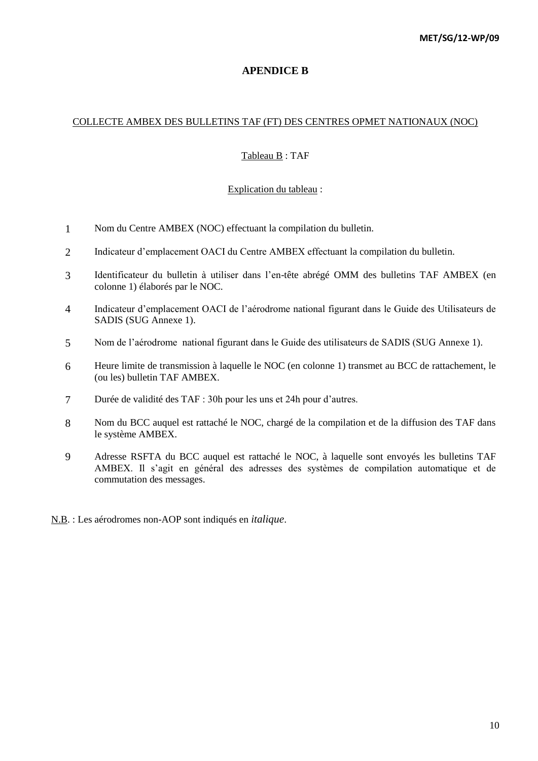# **APENDICE B**

### COLLECTE AMBEX DES BULLETINS TAF (FT) DES CENTRES OPMET NATIONAUX (NOC)

### Tableau B : TAF

### Explication du tableau :

- 1 Nom du Centre AMBEX (NOC) effectuant la compilation du bulletin.
- 2 Indicateur d'emplacement OACI du Centre AMBEX effectuant la compilation du bulletin.
- 3 Identificateur du bulletin à utiliser dans l'en-tête abrégé OMM des bulletins TAF AMBEX (en colonne 1) élaborés par le NOC.
- 4 Indicateur d'emplacement OACI de l'aérodrome national figurant dans le Guide des Utilisateurs de SADIS (SUG Annexe 1).
- 5 Nom de l'aérodrome national figurant dans le Guide des utilisateurs de SADIS (SUG Annexe 1).
- 6 Heure limite de transmission à laquelle le NOC (en colonne 1) transmet au BCC de rattachement, le (ou les) bulletin TAF AMBEX.
- 7 Durée de validité des TAF : 30h pour les uns et 24h pour d'autres.
- 8 Nom du BCC auquel est rattaché le NOC, chargé de la compilation et de la diffusion des TAF dans le système AMBEX.
- 9 Adresse RSFTA du BCC auquel est rattaché le NOC, à laquelle sont envoyés les bulletins TAF AMBEX. Il s'agit en général des adresses des systèmes de compilation automatique et de commutation des messages.
- N.B. : Les aérodromes non-AOP sont indiqués en *italique*.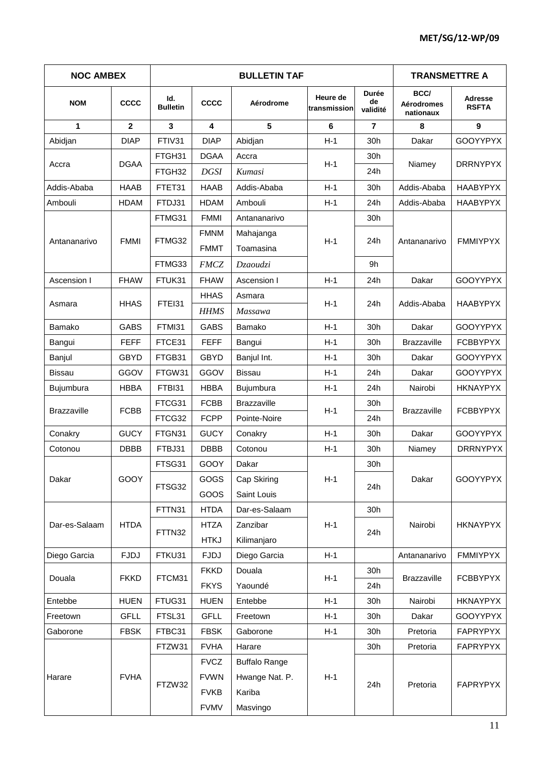| <b>NOC AMBEX</b>            |              |                        |             | <b>TRANSMETTRE A</b> |                          |                                |                                        |                         |
|-----------------------------|--------------|------------------------|-------------|----------------------|--------------------------|--------------------------------|----------------------------------------|-------------------------|
| <b>NOM</b>                  | <b>CCCC</b>  | ld.<br><b>Bulletin</b> | <b>CCCC</b> | Aérodrome            | Heure de<br>transmission | <b>Durée</b><br>de<br>validité | BCC/<br><b>Aérodromes</b><br>nationaux | Adresse<br><b>RSFTA</b> |
| 1                           | $\mathbf{2}$ | 3                      | 4           | 5                    | 6                        | $\overline{7}$                 | 8                                      | 9                       |
| Abidjan                     | <b>DIAP</b>  | FTIV31                 | <b>DIAP</b> | Abidjan              | $H-1$                    | 30h                            | Dakar                                  | <b>GOOYYPYX</b>         |
|                             | <b>DGAA</b>  | FTGH31                 | <b>DGAA</b> | Accra                | $H-1$                    | 30h                            |                                        | <b>DRRNYPYX</b>         |
| Accra                       |              | FTGH32                 | <b>DGSI</b> | Kumasi               |                          | 24h                            | Niamey                                 |                         |
| Addis-Ababa                 | <b>HAAB</b>  | FTET31                 | <b>HAAB</b> | Addis-Ababa          | $H-1$                    | 30h                            | Addis-Ababa                            | <b>HAABYPYX</b>         |
| Ambouli                     | <b>HDAM</b>  | FTDJ31                 | <b>HDAM</b> | Ambouli              | $H-1$                    | 24h                            | Addis-Ababa                            | <b>HAABYPYX</b>         |
| <b>FMMI</b><br>Antananarivo |              | FTMG31                 | <b>FMMI</b> | Antananarivo         |                          | 30h                            | Antananarivo                           |                         |
|                             |              |                        | <b>FMNM</b> | Mahajanga            |                          |                                |                                        |                         |
|                             |              | FTMG32                 | <b>FMMT</b> | Toamasina            | $H-1$                    | 24h                            |                                        | <b>FMMIYPYX</b>         |
|                             |              | FTMG33                 | <b>FMCZ</b> | Dzaoudzi             |                          | 9h                             |                                        |                         |
| Ascension I                 | <b>FHAW</b>  | FTUK31                 | <b>FHAW</b> | Ascension I          | $H-1$                    | 24h                            | Dakar                                  | <b>GOOYYPYX</b>         |
|                             |              |                        | <b>HHAS</b> | Asmara               |                          |                                |                                        |                         |
| <b>HHAS</b><br>Asmara       | FTEI31       | <b>HHMS</b>            | Massawa     | $H-1$                | 24h                      | Addis-Ababa                    | <b>HAABYPYX</b>                        |                         |
| Bamako                      | <b>GABS</b>  | FTMI31                 | <b>GABS</b> | Bamako               | $H-1$                    | 30h                            | Dakar                                  | <b>GOOYYPYX</b>         |
| Bangui                      | <b>FEFF</b>  | FTCE31                 | <b>FEFF</b> | Bangui               | $H-1$                    | 30h                            | <b>Brazzaville</b>                     | <b>FCBBYPYX</b>         |
| Banjul                      | <b>GBYD</b>  | FTGB31                 | <b>GBYD</b> | Banjul Int.          | $H-1$                    | 30h                            | Dakar                                  | <b>GOOYYPYX</b>         |
| <b>Bissau</b>               | GGOV         | FTGW31                 | GGOV        | <b>Bissau</b>        | $H-1$                    | 24h                            | Dakar                                  | <b>GOOYYPYX</b>         |
| Bujumbura                   | <b>HBBA</b>  | FTBI31                 | <b>HBBA</b> | Bujumbura            | $H-1$                    | 24h                            | Nairobi                                | <b>HKNAYPYX</b>         |
|                             |              | FTCG31                 | <b>FCBB</b> | <b>Brazzaville</b>   |                          | 30h                            |                                        |                         |
| <b>Brazzaville</b>          | <b>FCBB</b>  | FTCG32                 | <b>FCPP</b> | Pointe-Noire         | $H-1$                    | 24h                            | <b>Brazzaville</b>                     | <b>FCBBYPYX</b>         |
| Conakry                     | <b>GUCY</b>  | FTGN31                 | <b>GUCY</b> | Conakry              | $H-1$                    | 30h                            | Dakar                                  | <b>GOOYYPYX</b>         |
| Cotonou                     | <b>DBBB</b>  | FTBJ31                 | <b>DBBB</b> | Cotonou              | $H-1$                    | 30h                            | Niamey                                 | <b>DRRNYPYX</b>         |
|                             |              | FTSG31                 | GOOY        | Dakar                |                          | 30h                            |                                        |                         |
| Dakar                       | GOOY         | FTSG32                 | GOGS        | Cap Skiring          | $H-1$                    | 24h                            | Dakar                                  | GOOYYPYX                |
|                             |              |                        | GOOS        | Saint Louis          |                          |                                |                                        |                         |
|                             |              | FTTN31                 | <b>HTDA</b> | Dar-es-Salaam        |                          | 30h                            |                                        |                         |
| Dar-es-Salaam               | <b>HTDA</b>  | FTTN32                 | <b>HTZA</b> | Zanzibar             | $H-1$                    | 24h                            | Nairobi                                | <b>HKNAYPYX</b>         |
|                             |              |                        | <b>HTKJ</b> | Kilimanjaro          |                          |                                |                                        |                         |
| Diego Garcia                | <b>FJDJ</b>  | FTKU31                 | <b>FJDJ</b> | Diego Garcia         | $H-1$                    |                                | Antananarivo                           | <b>FMMIYPYX</b>         |
| Douala                      | <b>FKKD</b>  | FTCM31                 | <b>FKKD</b> | Douala               | $H-1$                    | 30h                            | Brazzaville                            | <b>FCBBYPYX</b>         |
|                             |              |                        | <b>FKYS</b> | Yaoundé              |                          | 24h                            |                                        |                         |
| Entebbe                     | <b>HUEN</b>  | FTUG31                 | <b>HUEN</b> | Entebbe              | $H-1$                    | 30h                            | Nairobi                                | <b>HKNAYPYX</b>         |
| Freetown                    | <b>GFLL</b>  | FTSL31                 | <b>GFLL</b> | Freetown             | $H-1$                    | 30h                            | Dakar                                  | <b>GOOYYPYX</b>         |
| Gaborone                    | <b>FBSK</b>  | FTBC31                 | <b>FBSK</b> | Gaborone             | $H-1$                    | 30h                            | Pretoria                               | FAPRYPYX                |
|                             |              | FTZW31                 | <b>FVHA</b> | Harare               |                          | 30h                            | Pretoria                               | FAPRYPYX                |
|                             |              |                        | <b>FVCZ</b> | <b>Buffalo Range</b> |                          |                                |                                        |                         |
| Harare                      | <b>FVHA</b>  | FTZW32                 | <b>FVWN</b> | Hwange Nat. P.       | $H-1$                    | 24h                            | Pretoria                               |                         |
|                             |              |                        | <b>FVKB</b> | Kariba               |                          |                                |                                        | FAPRYPYX                |
|                             |              |                        | <b>FVMV</b> | Masvingo             |                          |                                |                                        |                         |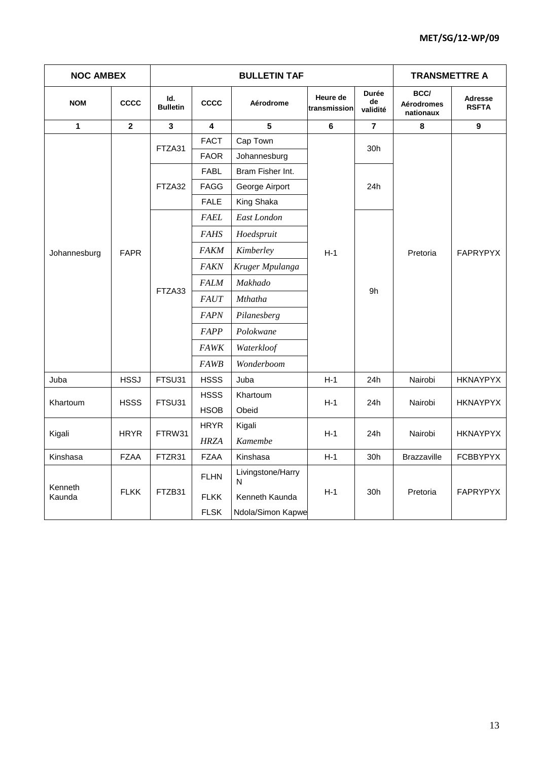| <b>NOC AMBEX</b> |             |                        | <b>TRANSMETTRE A</b> |                        |                          |                                |                                        |                         |
|------------------|-------------|------------------------|----------------------|------------------------|--------------------------|--------------------------------|----------------------------------------|-------------------------|
| <b>NOM</b>       | CCCC        | Id.<br><b>Bulletin</b> | <b>CCCC</b>          | Aérodrome              | Heure de<br>transmission | <b>Durée</b><br>de<br>validité | BCC/<br><b>Aérodromes</b><br>nationaux | Adresse<br><b>RSFTA</b> |
| $\mathbf{1}$     | $\mathbf 2$ | $\mathbf{3}$           | 4                    | $5\phantom{.0}$        | $\bf 6$                  | $\overline{\mathbf{r}}$        | $\pmb{8}$                              | $\boldsymbol{9}$        |
|                  | FTZA31      | <b>FACT</b>            | Cap Town             |                        | 30h                      |                                |                                        |                         |
|                  |             |                        | <b>FAOR</b>          | Johannesburg           |                          |                                |                                        |                         |
|                  |             | FTZA32                 | <b>FABL</b>          | Bram Fisher Int.       |                          |                                | Pretoria                               |                         |
|                  |             |                        | <b>FAGG</b>          | George Airport         |                          | 24h                            |                                        |                         |
|                  |             |                        | <b>FALE</b>          | King Shaka             |                          |                                |                                        |                         |
|                  |             |                        | <b>FAEL</b>          | East London            |                          |                                |                                        | FAPRYPYX                |
|                  | <b>FAPR</b> | FTZA33                 | <b>FAHS</b>          | Hoedspruit             |                          |                                |                                        |                         |
| Johannesburg     |             |                        | <b>FAKM</b>          | Kimberley              | $H-1$                    |                                |                                        |                         |
|                  |             |                        | <b>FAKN</b>          | Kruger Mpulanga        |                          |                                |                                        |                         |
|                  |             |                        | <b>FALM</b>          | Makhado                |                          | 9h                             |                                        |                         |
|                  |             |                        | <b>FAUT</b>          | <b>Mthatha</b>         |                          |                                |                                        |                         |
|                  |             |                        | <b>FAPN</b>          | Pilanesberg            |                          |                                |                                        |                         |
|                  |             |                        | FAPP                 | Polokwane              |                          |                                |                                        |                         |
|                  |             |                        | <b>FAWK</b>          | Waterkloof             |                          |                                |                                        |                         |
|                  |             |                        | <b>FAWB</b>          | Wonderboom             |                          |                                |                                        |                         |
| Juba             | <b>HSSJ</b> | FTSU31                 | <b>HSSS</b>          | Juba                   | $H-1$                    | 24h                            | Nairobi                                | <b>HKNAYPYX</b>         |
|                  | <b>HSSS</b> | FTSU31                 | <b>HSSS</b>          | Khartoum               |                          | 24h                            | Nairobi                                | <b>HKNAYPYX</b>         |
| Khartoum         |             |                        | <b>HSOB</b>          | Obeid                  | $H-1$                    |                                |                                        |                         |
|                  | <b>HRYR</b> | FTRW31                 | <b>HRYR</b>          | Kigali                 | $H-1$                    | 24h                            |                                        | <b>HKNAYPYX</b>         |
| Kigali           |             |                        | <b>HRZA</b>          | Kamembe                |                          |                                | Nairobi                                |                         |
| Kinshasa         | <b>FZAA</b> | FTZR31                 | <b>FZAA</b>          | Kinshasa               | $H-1$                    | 30h                            | <b>Brazzaville</b>                     | <b>FCBBYPYX</b>         |
| Kenneth          |             | FTZB31                 | <b>FLHN</b>          | Livingstone/Harry<br>N |                          |                                |                                        |                         |
| Kaunda           | <b>FLKK</b> |                        | <b>FLKK</b>          | Kenneth Kaunda         | $H-1$                    | 30h                            | Pretoria                               | <b>FAPRYPYX</b>         |
|                  |             |                        | <b>FLSK</b>          | Ndola/Simon Kapwe      |                          |                                |                                        |                         |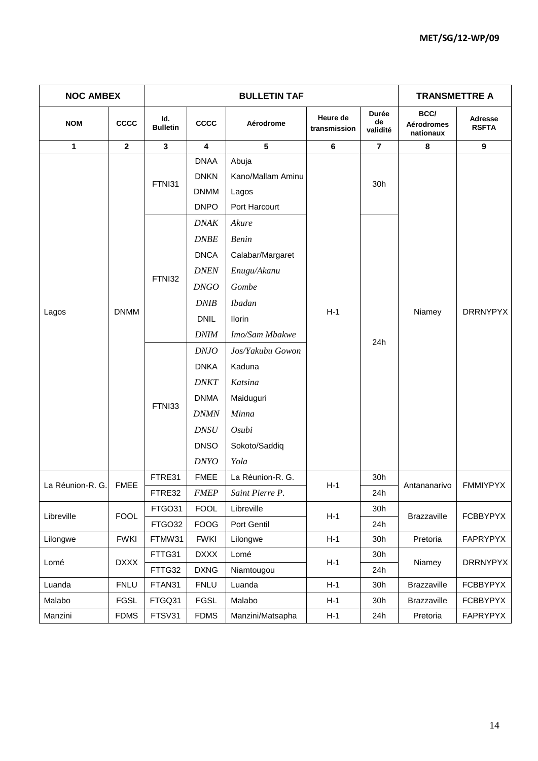| <b>NOC AMBEX</b> |                         |                        |                                                          | <b>TRANSMETTRE A</b>                                 |                          |                         |                                        |                                |
|------------------|-------------------------|------------------------|----------------------------------------------------------|------------------------------------------------------|--------------------------|-------------------------|----------------------------------------|--------------------------------|
| <b>NOM</b>       | <b>CCCC</b>             | ld.<br><b>Bulletin</b> | <b>CCCC</b>                                              | Aérodrome                                            | Heure de<br>transmission | Durée<br>de<br>validité | BCC/<br><b>Aérodromes</b><br>nationaux | <b>Adresse</b><br><b>RSFTA</b> |
| 1                | $\overline{\mathbf{2}}$ | $\mathbf{3}$           | $\overline{\mathbf{4}}$                                  | 5                                                    | 6                        | $\overline{7}$          | 8                                      | 9                              |
|                  |                         | FTNI31                 | <b>DNAA</b><br><b>DNKN</b><br><b>DNMM</b><br><b>DNPO</b> | Abuja<br>Kano/Mallam Aminu<br>Lagos<br>Port Harcourt |                          | 30h                     |                                        | <b>DRRNYPYX</b>                |
|                  |                         |                        | <b>DNAK</b>                                              | Akure                                                |                          |                         |                                        |                                |
|                  |                         |                        | <b>DNBE</b>                                              | <b>Benin</b>                                         |                          |                         |                                        |                                |
|                  |                         |                        | <b>DNCA</b>                                              | Calabar/Margaret                                     | $H-1$                    |                         |                                        |                                |
|                  |                         |                        | <b>DNEN</b>                                              | Enugu/Akanu                                          |                          |                         |                                        |                                |
| Lagos            |                         | FTNI32                 | <b>DNGO</b>                                              | Gombe                                                |                          |                         |                                        |                                |
|                  |                         |                        | <b>DNIB</b>                                              | <b>Ibadan</b>                                        |                          |                         |                                        |                                |
|                  | <b>DNMM</b>             |                        | <b>DNIL</b>                                              | <b>Ilorin</b>                                        |                          |                         | Niamey                                 |                                |
|                  |                         |                        | <b>DNIM</b>                                              | Imo/Sam Mbakwe                                       |                          |                         |                                        |                                |
|                  |                         |                        | D N J O                                                  | Jos/Yakubu Gowon                                     |                          | 24h                     |                                        |                                |
|                  |                         |                        | <b>DNKA</b>                                              | Kaduna                                               |                          |                         |                                        |                                |
|                  |                         |                        | <b>DNKT</b>                                              | Katsina                                              |                          |                         |                                        |                                |
|                  |                         |                        | <b>DNMA</b>                                              | Maiduguri                                            |                          |                         |                                        |                                |
|                  |                         | FTNI33                 | <b>DNMN</b>                                              | Minna                                                |                          |                         |                                        |                                |
|                  |                         |                        | <b>DNSU</b>                                              | Osubi                                                |                          |                         |                                        |                                |
|                  |                         |                        | <b>DNSO</b>                                              | Sokoto/Saddiq                                        |                          |                         |                                        |                                |
|                  |                         |                        | <b>DNYO</b>                                              | Yola                                                 |                          |                         |                                        |                                |
| La Réunion-R. G. | <b>FMEE</b>             | FTRE31                 | <b>FMEE</b>                                              | La Réunion-R. G.                                     | $H-1$                    | 30h                     | Antananarivo                           | <b>FMMIYPYX</b>                |
|                  |                         | FTRE32                 | <b>FMEP</b>                                              | Saint Pierre P.                                      |                          | 24h                     |                                        |                                |
| Libreville       | <b>FOOL</b>             | FTGO31                 | <b>FOOL</b>                                              | Libreville                                           | $H-1$                    | 30h                     | Brazzaville                            | <b>FCBBYPYX</b>                |
|                  |                         | FTGO32                 | <b>FOOG</b>                                              | Port Gentil                                          |                          | 24h                     |                                        |                                |
| Lilongwe         | <b>FWKI</b>             | FTMW31                 | <b>FWKI</b>                                              | Lilongwe                                             | $H-1$                    | 30h                     | Pretoria                               | FAPRYPYX                       |
| Lomé             | <b>DXXX</b>             | FTTG31                 | <b>DXXX</b>                                              | Lomé                                                 | $H-1$                    | 30h                     | Niamey                                 | <b>DRRNYPYX</b>                |
|                  |                         | FTTG32                 | <b>DXNG</b>                                              | Niamtougou                                           |                          | 24h                     |                                        |                                |
| Luanda           | <b>FNLU</b>             | FTAN31                 | <b>FNLU</b>                                              | Luanda                                               | $H-1$                    | 30h                     | Brazzaville                            | <b>FCBBYPYX</b>                |
| Malabo           | <b>FGSL</b>             | FTGQ31                 | <b>FGSL</b>                                              | Malabo                                               | $H-1$                    | 30h                     | <b>Brazzaville</b>                     | <b>FCBBYPYX</b>                |
| Manzini          | <b>FDMS</b>             | FTSV31                 | <b>FDMS</b>                                              | Manzini/Matsapha                                     | $H-1$                    | 24h                     | Pretoria                               | FAPRYPYX                       |